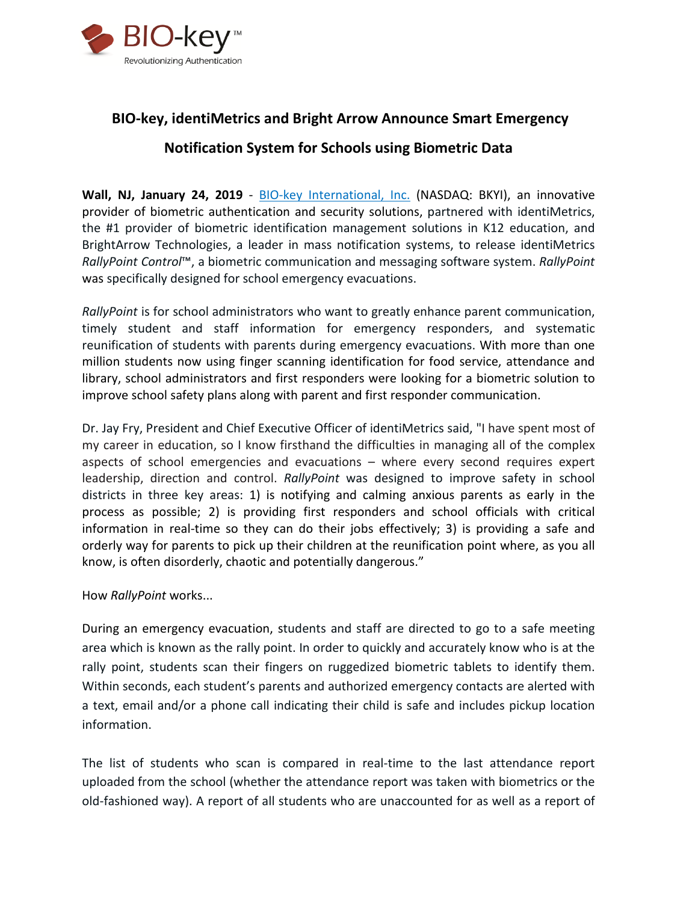

# **BIO-key, identiMetrics and Bright Arrow Announce Smart Emergency**

# **Notification System for Schools using Biometric Data**

**Wall, NJ, January 24, 2019** - [BIO-key International, Inc.](http://www.bio-key.com/investors/) (NASDAQ: [BKYI\)](https://finance.yahoo.com/quote/BKYI?p=BKYI), an innovative provider of biometric authentication and security solutions, partnered with identiMetrics, the #1 provider of biometric identification management solutions in K12 education, and BrightArrow Technologies, a leader in mass notification systems, to release identiMetrics *RallyPoint Control*™, a biometric communication and messaging software system. *RallyPoint* was specifically designed for school emergency evacuations.

*RallyPoint* is for school administrators who want to greatly enhance parent communication, timely student and staff information for emergency responders, and systematic reunification of students with parents during emergency evacuations. With more than one million students now using finger scanning identification for food service, attendance and library, school administrators and first responders were looking for a biometric solution to improve school safety plans along with parent and first responder communication.

Dr. Jay Fry, President and Chief Executive Officer of identiMetrics said, "I have spent most of my career in education, so I know firsthand the difficulties in managing all of the complex aspects of school emergencies and evacuations – where every second requires expert leadership, direction and control. *RallyPoint* was designed to improve safety in school districts in three key areas: 1) is notifying and calming anxious parents as early in the process as possible; 2) is providing first responders and school officials with critical information in real-time so they can do their jobs effectively; 3) is providing a safe and orderly way for parents to pick up their children at the reunification point where, as you all know, is often disorderly, chaotic and potentially dangerous."

How *RallyPoint* works...

During an emergency evacuation, students and staff are directed to go to a safe meeting area which is known as the rally point. In order to quickly and accurately know who is at the rally point, students scan their fingers on ruggedized biometric tablets to identify them. Within seconds, each student's parents and authorized emergency contacts are alerted with a text, email and/or a phone call indicating their child is safe and includes pickup location information.

The list of students who scan is compared in real-time to the last attendance report uploaded from the school (whether the attendance report was taken with biometrics or the old-fashioned way). A report of all students who are unaccounted for as well as a report of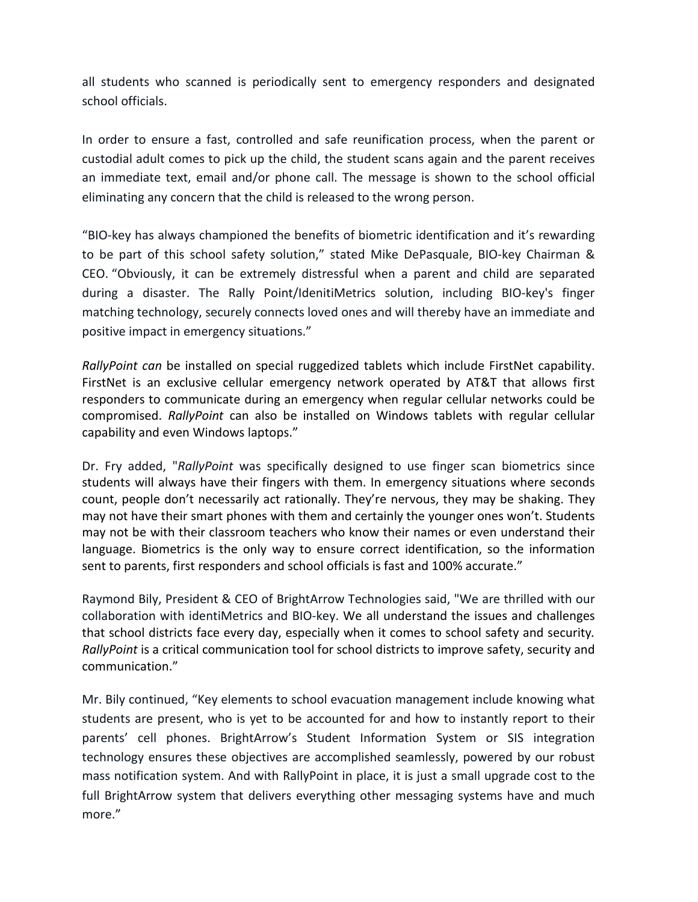all students who scanned is periodically sent to emergency responders and designated school officials.

In order to ensure a fast, controlled and safe reunification process, when the parent or custodial adult comes to pick up the child, the student scans again and the parent receives an immediate text, email and/or phone call. The message is shown to the school official eliminating any concern that the child is released to the wrong person.

"BIO-key has always championed the benefits of biometric identification and it's rewarding to be part of this school safety solution," stated Mike DePasquale, BIO-key Chairman & CEO. "Obviously, it can be extremely distressful when a parent and child are separated during a disaster. The Rally Point/IdenitiMetrics solution, including BIO-key's finger matching technology, securely connects loved ones and will thereby have an immediate and positive impact in emergency situations."

*RallyPoint can* be installed on special ruggedized tablets which include FirstNet capability. FirstNet is an exclusive cellular emergency network operated by AT&T that allows first responders to communicate during an emergency when regular cellular networks could be compromised. *RallyPoint* can also be installed on Windows tablets with regular cellular capability and even Windows laptops."

Dr. Fry added, "*RallyPoint* was specifically designed to use finger scan biometrics since students will always have their fingers with them. In emergency situations where seconds count, people don't necessarily act rationally. They're nervous, they may be shaking. They may not have their smart phones with them and certainly the younger ones won't. Students may not be with their classroom teachers who know their names or even understand their language. Biometrics is the only way to ensure correct identification, so the information sent to parents, first responders and school officials is fast and 100% accurate."

Raymond Bily, President & CEO of BrightArrow Technologies said, "We are thrilled with our collaboration with identiMetrics and BIO-key. We all understand the issues and challenges that school districts face every day, especially when it comes to school safety and security*. RallyPoint* is a critical communication tool for school districts to improve safety, security and communication."

Mr. Bily continued, "Key elements to school evacuation management include knowing what students are present, who is yet to be accounted for and how to instantly report to their parents' cell phones. BrightArrow's Student Information System or SIS integration technology ensures these objectives are accomplished seamlessly, powered by our robust mass notification system. And with RallyPoint in place, it is just a small upgrade cost to the full BrightArrow system that delivers everything other messaging systems have and much more."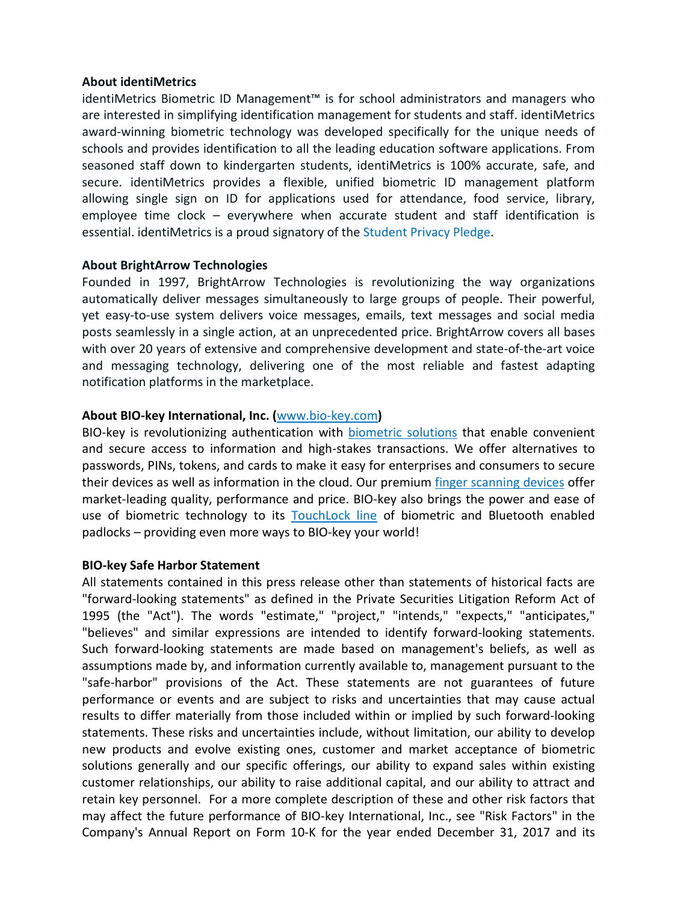#### **About identiMetrics**

identiMetrics Biometric ID Management™ is for school administrators and managers who are interested in simplifying identification management for students and staff. identiMetrics award-winning biometric technology was developed specifically for the unique needs of schools and provides identification to all the leading education software applications. From seasoned staff down to kindergarten students, identiMetrics is 100% accurate, safe, and secure. identiMetrics provides a flexible, unified biometric ID management platform allowing single sign on ID for applications used for attendance, food service, library, employee time clock – everywhere when accurate student and staff identification is essential. identiMetrics is a proud signatory of the [Student Privacy Pledge.](https://studentprivacypledge.org/)

### **About BrightArrow Technologies**

Founded in 1997, BrightArrow Technologies is revolutionizing the way organizations automatically deliver messages simultaneously to large groups of people. Their powerful, yet easy-to-use system delivers voice messages, emails, text messages and social media posts seamlessly in a single action, at an unprecedented price. BrightArrow covers all bases with over 20 years of extensive and comprehensive development and state-of-the-art voice and messaging technology, delivering one of the most reliable and fastest adapting notification platforms in the marketplace.

### **About BIO-key International, Inc. (**[www.bio-key.com](http://www.bio-key.com/)**)**

BIO-key is revolutionizing authentication with [biometric solutions](https://www.bio-key.com/biometric-authentication-solutions/enterprise-security-software/) that enable convenient and secure access to information and high-stakes transactions. We offer alternatives to passwords, PINs, tokens, and cards to make it easy for enterprises and consumers to secure their devices as well as information in the cloud. Our premium [finger scanning devices](https://www.bio-key.com/biometric-solution-technology/usb-fingerprint-scanners/) offer market-leading quality, performance and price. BIO-key also brings the power and ease of use of biometric technology to its [TouchLock line](http://www.bio-key.com/products/touchlock/) of biometric and Bluetooth enabled padlocks – providing even more ways to BIO-key your world!

### **BIO-key Safe Harbor Statement**

All statements contained in this press release other than statements of historical facts are "forward-looking statements" as defined in the Private Securities Litigation Reform Act of 1995 (the "Act"). The words "estimate," "project," "intends," "expects," "anticipates," "believes" and similar expressions are intended to identify forward-looking statements. Such forward-looking statements are made based on management's beliefs, as well as assumptions made by, and information currently available to, management pursuant to the "safe-harbor" provisions of the Act. These statements are not guarantees of future performance or events and are subject to risks and uncertainties that may cause actual results to differ materially from those included within or implied by such forward-looking statements. These risks and uncertainties include, without limitation, our ability to develop new products and evolve existing ones, customer and market acceptance of biometric solutions generally and our specific offerings, our ability to expand sales within existing customer relationships, our ability to raise additional capital, and our ability to attract and retain key personnel. For a more complete description of these and other risk factors that may affect the future performance of BIO-key International, Inc., see "Risk Factors" in the Company's Annual Report on Form 10-K for the year ended December 31, 2017 and its